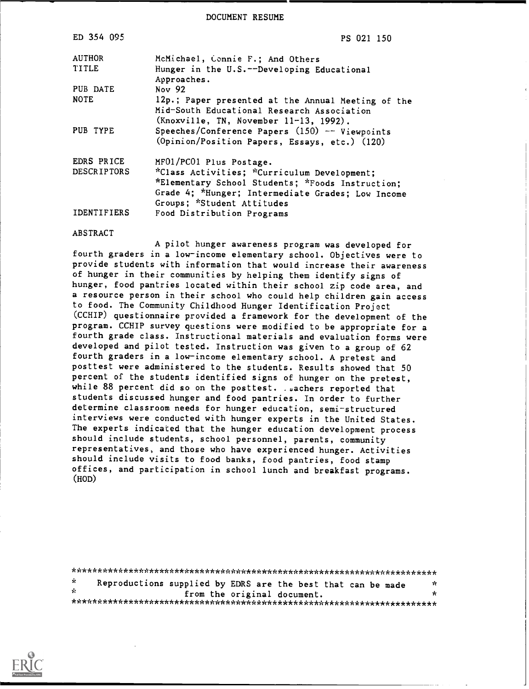DOCUMENT RESUME

| ED 354 095         | PS 021 150                                                                                                                                                                         |
|--------------------|------------------------------------------------------------------------------------------------------------------------------------------------------------------------------------|
| <b>AUTHOR</b>      | McMichael, Connie F.; And Others                                                                                                                                                   |
| TITLE              | Hunger in the U.S.--Developing Educational<br>Approaches.                                                                                                                          |
| PUB DATE           | Nov 92                                                                                                                                                                             |
| <b>NOTE</b>        | 12p.; Paper presented at the Annual Meeting of the<br>Mid-South Educational Research Association<br>(Knoxville, TN, November 11-13, 1992).                                         |
| PUB TYPE           | Speeches/Conference Papers (150) -- Viewpoints<br>(Opinion/Position Papers, Essays, etc.) (120)                                                                                    |
| EDRS PRICE         | MF01/PC01 Plus Postage.                                                                                                                                                            |
| <b>DESCRIPTORS</b> | *Class Activities; *Curriculum Development;<br>*Elementary School Students; *Foods Instruction;<br>Grade 4; *Hunger; Intermediate Grades; Low Income<br>Groups; *Student Attitudes |
| <b>IDENTIFIERS</b> | Food Distribution Programs                                                                                                                                                         |

ABSTRACT

A pilot hunger awareness program was developed for fourth graders in a low-income elementary school. Objectives were to provide students with information that would increase their awareness of hunger in their communities by helping them identify signs of hunger, food pantries located within their school zip code area, and a resource person in their school who could help children gain access to food. The Community Childhood Hunger Identification Project (CCHIP) questionnaire provided a framework for the development of the program. CCHIP survey questions were modified to be appropriate for a fourth grade class. Instructional materials and evaluation forms were developed and pilot tested. Instruction was given to a group of 62 fourth graders in a low-income elementary school. A pretest and posttest were administered to the students. Results showed that 50 percent of the students identified signs of hunger on the pretest, while 88 percent did so on the posttest. . sachers reported that students discussed hunger and food pantries. In order to further determine classroom needs for hunger education, semi-structured interviews were conducted with hunger experts in the United States. The experts indicated that the hunger education development process should include students, school personnel, parents, community representatives, and those who have experienced hunger. Activities should include visits to food banks, food pantries, food stamp offices, and participation in school lunch and breakfast programs. (HOD)

\*\*\*\*\*\*\*\*\*\*\*\*\*\*\*\*\*\*\*\*\*\*\*\*\*\*\*\*\*\*\*\*\*\*\*\*\*\*\*\*\*\*\*\*\*\*\*\*\*\*\*\*\*\*\*\*\*\*\*\*\*\*\*\*\*\*\*\*\*\*\* Уc. Reproductions supplied by EDRS are the best that can be made from the original document. \*\*\*\*\*\*\*\*\*\*\*\*\*\*\*\*\*\*\*\*\*\*\*\*\*\*\*\*\*\*\*\*\*\*\*\*\*\*\*\*\*\*\*\*\*\*\*\*\*\*\*\*\*\*\*\*\*\*\*\*\*\*\*\*\*\*\*\*\*\*\*

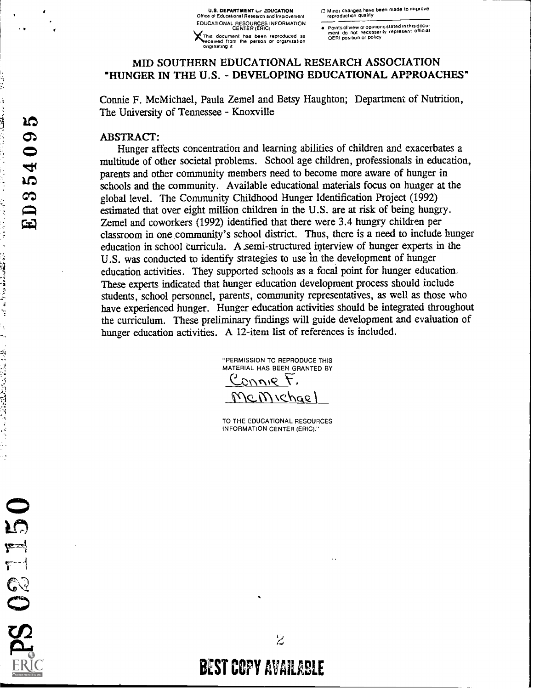U.S. DEPARTMENT UP ZDUCATION C Minor changes have been made to improve<br>Office of Educational Research and Improvement reproduction quality EDUCATIONAL RESOURCES INFORMATION<br>CENTER (ERIC) This document has been reproduced as<br>seceived from the person or organization<br>originating it

CENTER (Points of view or opinions stated in this docu-<br>
Then this document do not necessarily represent official<br>
DERI position or policy

# MID SOUTHERN EDUCATIONAL RESEARCH ASSOCIATION "HUNGER IN THE U.S. - DEVELOPING EDUCATIONAL APPROACHES"

Connie F. McMichael, Paula Zemel and Betsy Haughton; Department of Nutrition, The University of Tennessee - Knoxville

#### ABSTRACT:

Hunger affects concentration and learning abilities of children and exacerbates a multitude of other societal problems. School age children, professionals in education, parents and other community members need to become more aware of hunger in schools and the community. Available educational materials focus on hunger at the global level. The Community Childhood Hunger Identification Project (1992) estimated that over eight million children in the U.S. are at risk of being hungry. Zemel and coworkers (1992) identified that there were 3.4 hungry children per classroom in one community's school district. Thus, there is a need to include hunger education in school curricula. A semi-structured interview of hunger experts in the U.S. was conducted to identify strategies to use 'm the development of hunger education activities. They supported schools as a focal point for hunger education. These experts indicated that hunger education development process should include students, school personnel, parents, community representatives, as well as those who have experienced hunger. Hunger education activities should be integrated throughout the curriculum. These preliminary findings will guide development and evaluation of hunger education activities. A 12-item list of references is included.

> "PERMISSION TO REPRODUCE THIS MATERIAL HAS BEEN GRANTED BY .T anna  $\epsilon$ M v $\epsilon$ hae

> TO THE EDUCATIONAL RESOURCES INFORMATION CENTER (ERIC)."

BEST COPY AVAILABLE

 $\overline{z}$ 

 $\frac{1}{2}$ 

 $\frac{1}{2}$ 

 $\ddot{\phantom{0}}$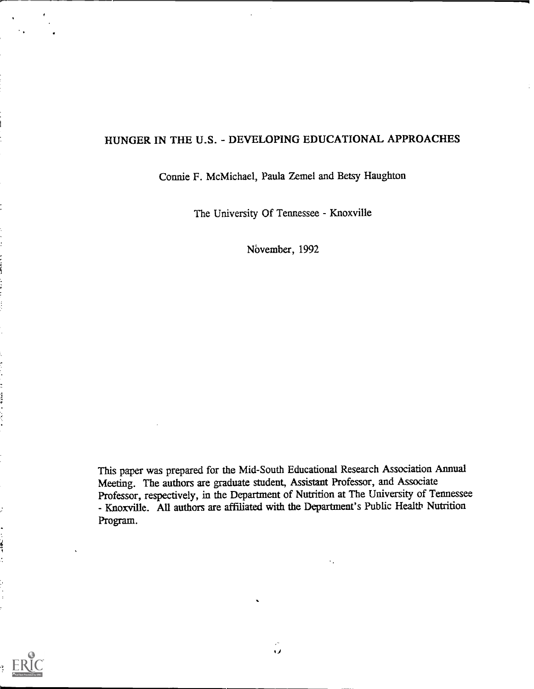# HUNGER IN THE U.S. - DEVELOPING EDUCATIONAL APPROACHES

### Connie F. McMichael, Paula Zemel and Betsy Haughton

The University Of Tennessee - Knoxville

November, 1992

This paper was prepared for the Mid-South Educational Research Association Annual Meeting. The authors are graduate student, Assistant Professor, and Associate Professor, respectively, in the Department of Nutrition at The University of Tennessee - Knoxville. All authors are affiliated with the Department's Public Health Nutrition Program.



 $\frac{1}{2}$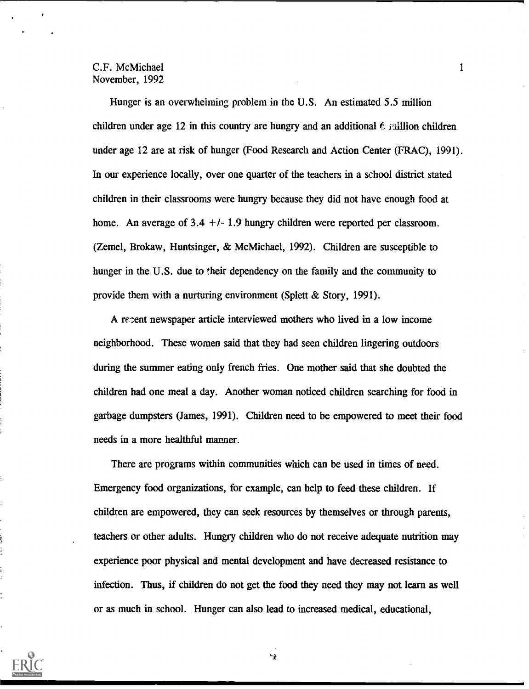Hunger is an overwhelming problem in the U.S. An estimated 5.5 million children under age 12 in this country are hungry and an additional  $\epsilon$  raillion children under age 12 are at risk of hunger (Food Research and Action Center (FRAC), 1991). In our experience locally, over one quarter of the teachers in a school district stated children in their classrooms were hungry because they did not have enough food at home. An average of  $3.4 +/- 1.9$  hungry children were reported per classroom. (Zemel, Brokaw, Huntsinger, & McMichael, 1992). Children are susceptible to hunger in the U.S. due to their dependency on the family and the community to provide them with a nurturing environment (Splett & Story, 1991).

A recent newspaper article interviewed mothers who lived in a low income neighborhood. These women said that they had seen children lingering outdoors during the summer eating only french fries. One mother said that she doubted the children had one meal a day. Another woman noticed children searching for food in garbage dumpsters (James, 1991). Children need to be empowered to meet their food needs in a more healthful manner.

There are programs within communities which can be used in times of need. Emergency food organizations, for example, can help to feed these children. If children are empowered, they can seek resources by themselves or through parents, teachers or other adults. Hungry children who do not receive adequate nutrition may experience poor physical and mental development and have decreased resistance to infection. Thus, if children do not get the food they need they may not learn as well or as much in school. Hunger can also lead to increased medical, educational,

£



 $\blacksquare$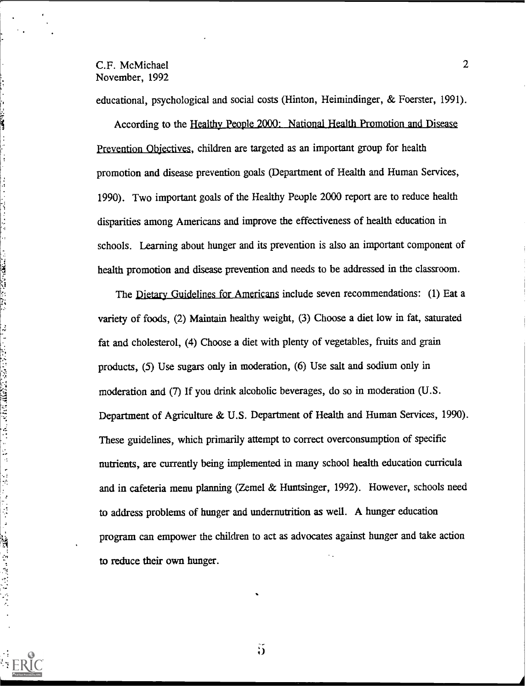**CONTRACTOR** 

 $\label{eq:2.1} \frac{1}{2}\int_{0}^{2\pi} \frac{1}{2\pi} \int_{0}^{2\pi} \frac{1}{2\pi} \int_{0}^{2\pi} \frac{1}{2\pi} \int_{0}^{2\pi} \frac{1}{2\pi} \int_{0}^{2\pi} \frac{1}{2\pi} \int_{0}^{2\pi} \frac{1}{2\pi} \int_{0}^{2\pi} \frac{1}{2\pi} \int_{0}^{2\pi} \frac{1}{2\pi} \int_{0}^{2\pi} \frac{1}{2\pi} \int_{0}^{2\pi} \frac{1}{2\pi} \int_{0}^{2\pi} \frac{1}{$ 

educational, psychological and social costs (Hinton, Heimindinger, & Foerster, 1991).

According to the Healthy People 2000: National Health Promotion and\_Disease Prevention Objectives, children are targeted as an important group for health promotion and disease prevention goals (Department of Health and Human Services, 1990). Two important goals of the Healthy People 2000 report are to reduce health disparities among Americans and improve the effectiveness of health education in schools. Learning about hunger and its prevention is also an important component of health promotion and disease prevention and needs to be addressed in the classroom.

The Dietary Guidelines for Americans include seven recommendations: (1) Eat a variety of foods, (2) Maintain healthy weight, (3) Choose a diet low in fat, saturated fat and cholesterol, (4) Choose a diet with plenty of vegetables, fruits and grain products, (5) Use sugars only in moderation, (6) Use salt and sodium only in moderation and (7) If you drink alcoholic beverages, do so in moderation (U.S. Department of Agriculture & U.S. Department of Health and Human Services, 1990). These guidelines, which primarily attempt to correct overconsumption of specific nutrients, are currently being implemented in many school health education curricula and in cafeteria menu planning (Zemel & Huntsinger, 1992). However, schools need to address problems of hunger and undemutrition as well. A hunger education program can empower the children to act as advocates against hunger and take action to reduce their own hunger.

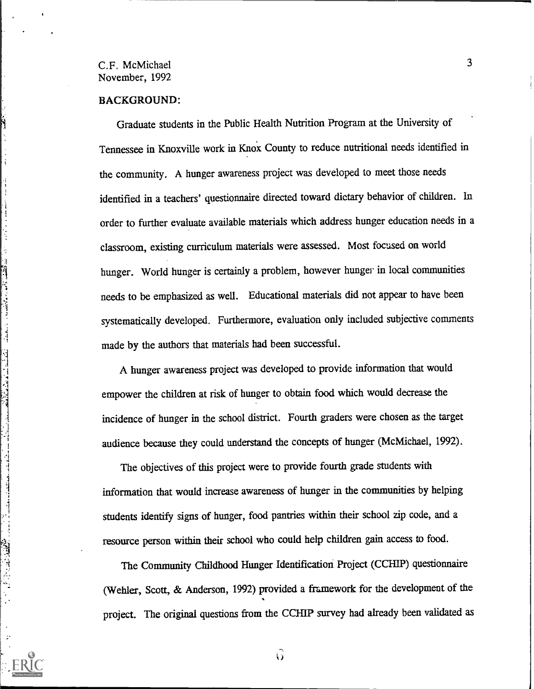#### BACKGROUND:

 $\begin{array}{c} \frac{1}{2} \\ \frac{1}{2} \end{array}$ 

Graduate students in the Public Health Nutrition Program at the University of Tennessee in Knoxville work in Knox County to reduce nutritional needs identified in the community. A hunger awareness project was developed to meet those needs identified in a teachers' questionnaire directed toward dietary behavior of children. In order to further evaluate available materials which address hunger education needs in a classroom, existing curriculum materials were assessed. Most focused on world hunger. World hunger is certainly a problem, however hunger in local communities needs to be emphasized as well. Educational materials did not appear to have been systematically developed. Furthermore, evaluation only included subjective comments made by the authors that materials had been successful.

A hunger awareness project was developed to provide information that would empower the children at risk of hunger to obtain food which would decrease the incidence of hunger in the school district. Fourth graders were chosen as the target audience because they could understand the concepts of hunger (McMichael, 1992).

The objectives of this project were to provide fourth grade students with information that would increase awareness of hunger in the communities by helping students identify signs of hunger, food pantries within their school zip code, and a resource person within their school who could help children gain access to food.

The Community Childhood Hunger Identification Project (CCHIP) questionnaire (Wehler, Scott, & Anderson, 1992) provided a framework for the development of the project. The original questions from the CCHIP survey had already been validated as

 $\widehat{G}$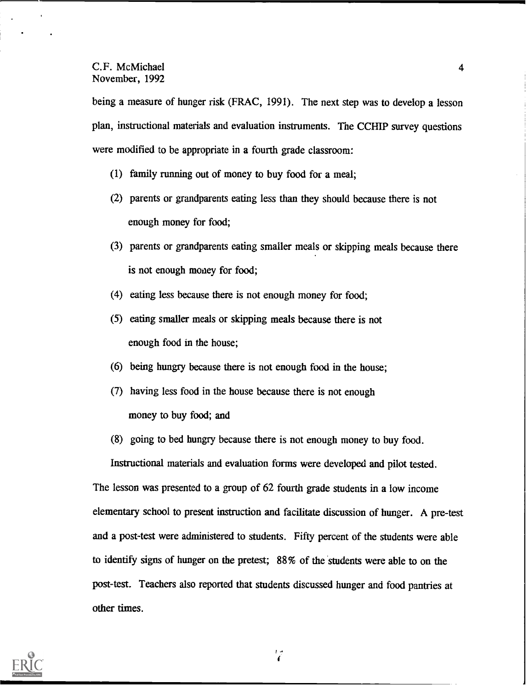being a measure of hunger risk (FRAC, 1991). The next step was to develop a lesson plan, instructional materials and evaluation instruments. The CCHIP survey questions were modified to be appropriate in a fourth grade classroom:

- (1) family running out of money to buy food for a meal;
- (2) parents or grandparents eating less than they should because there is not enough money for food;
- (3) parents or grandparents eating smaller meals or skipping meals because there is not enough money for food;
- (4) eating less because there is not enough money for food;
- (5) eating smaller meals or skipping meals because there is not enough food in the house;
- (6) being hungry because there is not enough food in the house;
- (7) having less food in the house because there is not enough money to buy food; and
- (8) going to bed hungry because there is not enough money to buy food.

Instructional materials and evaluation forms were developed and pilot tested.

The lesson was presented to a group of 62 fourth grade students in a low income elementary school to present instruction and facilitate discussion of hunger. A pre-test and a post-test were administered to students. Fifty percent of the students were able to identify signs of hunger on the pretest; 88% of the students were able to on the post-test. Teachers also reported that students discussed hunger and food pantries at other times.

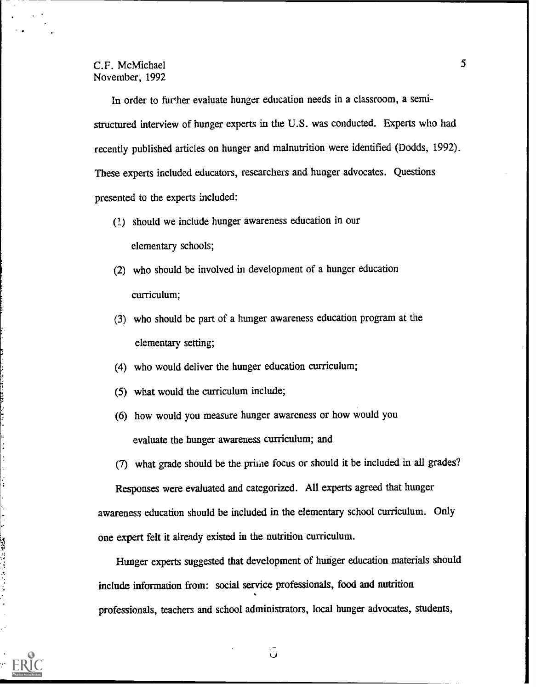In order to further evaluate hunger education needs in a classroom, a semistructured interview of hunger experts in the U.S. was conducted. Experts who had recently published articles on hunger and malnutrition were identified (Dodds, 1992). These experts included educators, researchers and hunger advocates. Questions presented to the experts included:

- (1) should we include hunger awareness education in our elementary schools;
- (2) who should be involved in development of a hunger education curriculum;
- (3) who should be part of a hunger awareness education program at the elementary setting;
- (4) who would deliver the hunger education curriculum;
- (5) what would the curriculum include;
- (6) how would you measure hunger awareness or how would you evaluate the hunger awareness curriculum; and
- (7) what grade should be the prime focus or should it be included in all grades?

Responses were evaluated and categorized. All experts agreed that hunger awareness education should be included in the elementary school curriculum. Only one expert felt it already existed in the nutrition curriculum.

Hunger experts suggested that development of hunger education materials should include information from: social service professionals, food and nutrition professionals, teachers and school administrators, local hunger advocates, students,

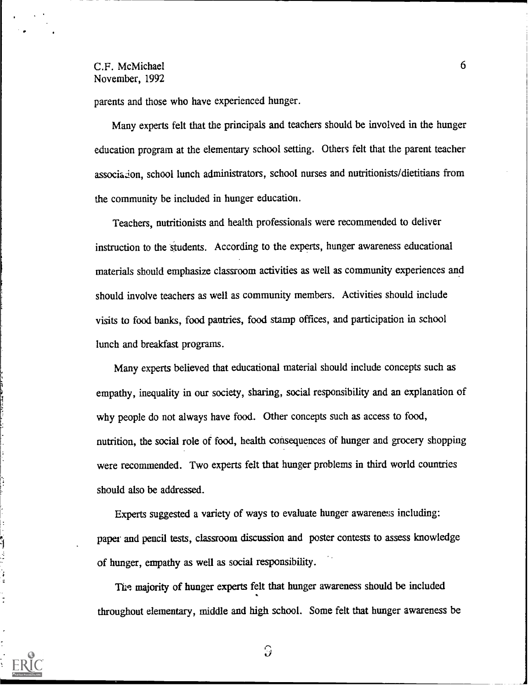$\ddot{\phantom{a}}$ 

parents and those who have experienced hunger.

Many experts felt that the principals and teachers should be involved in the hunger education program at the elementary school setting. Others felt that the parent teacher association, school lunch administrators, school nurses and nutritionists/dietitians from the community be included in hunger education.

Teachers, nutritionists and health professionals were recommended to deliver instruction to the students. According to the experts, hunger awareness educational materials should emphasize classroom activities as well as community experiences and should involve teachers as well as community members. Activities should include visits to food banks, food pantries, food stamp offices, and participation in school lunch and breakfast programs.

Many experts believed that educational material should include concepts such as empathy, inequality in our society, sharing, social responsibility and an explanation of why people do not always have food. Other concepts such as access to food, nutrition, the social role of food, health consequences of hunger and grocery shopping were recommended. Two experts felt that hunger problems in third world countries should also be addressed.

Experts suggested a variety of ways to evaluate hunger awareness including: paper and pencil tests, classroom discussion and poster contests to assess knowledge of hunger, empathy as well as social responsibility.

The majority of hunger experts felt that hunger awareness should be included throughout elementary, middle and high school. Some felt that hunger awareness be

5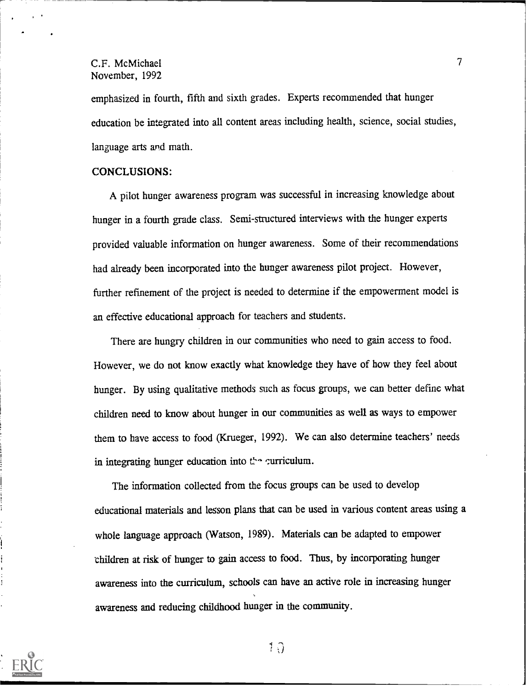emphasized in fourth, fifth and sixth grades. Experts recommended that hunger education be integrated into all content areas including health, science, social studies, language arts and math.

### CONCLUSIONS:

A pilot hunger awareness program was successful in increasing knowledge about hunger in a fourth grade class. Semi-structured interviews with the hunger experts provided valuable information on hunger awareness. Some of their recommendations had already been incorporated into the hunger awareness pilot project. However, further refinement of the project is needed to determine if the empowerment model is an effective educational approach for teachers and students.

There are hungry children in our communities who need to gain access to food. However, we do not know exactly what knowledge they have of how they feel about hunger. By using qualitative methods such as focus groups, we can better define what children need to know about hunger in our communities as well as ways to empower them to have access to food (Krueger, 1992). We can also determine teachers' needs in integrating hunger education into  $t^{\lambda}$  qurriculum.

The information collected from the focus groups can be used to develop educational materials and lesson plans that can be used in various content areas using a whole language approach (Watson, 1989). Materials can be adapted to empower children at risk of hunger to gain access to food. Thus, by incorporating hunger awareness into the curriculum, schools can have an active role in increasing hunger awareness and reducing childhood hunger in the community.



 $1 \Omega$ 

 $T_{\rm{max}}$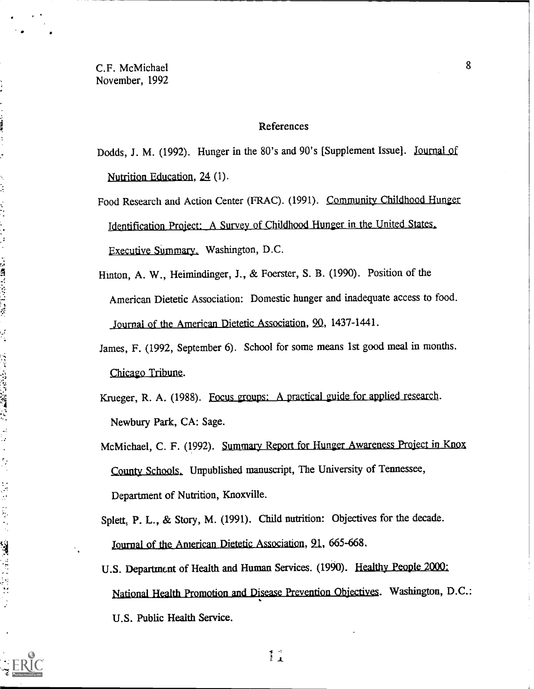#### References

Dodds, J. M. (1992). Hunger in the 80's and 90's [Supplement Issue]. Journal of Nutrition Education, 24 (1).

Food Research and Action Center (FRAC). (1991). Community Childhood Hunger Identification Project: A Survey of Childhood Hunger in the United States, Executive Summary. Washington, D.C.

Hinton, A. W., Heimindinger, J., & Foerster, S. B. (1990). Position of the American Dietetic Association: Domestic hunger and inadequate access to food. Journal of the American Dietetic Association, 20., 1437-1441.

James, F. (1992, September 6). School for some means 1st good meal in months. Chicago Tribune.

Krueger, R. A. (1988). Focus groups: A practical guide for applied research. Newbury Park, CA: Sage.

McMichael, C. F. (1992). Summary Report for Hunger Awareness Project in Knox County Schools, Unpublished manuscript, The University of Tennessee, Department of Nutrition, Knoxville.

Splett, P. L., & Story, M. (1991). Child nutrition: Objectives for the decade. Journal of the American Dietetic Association, 21, 665-668.

U.S. Department of Health and Human Services. (1990). Healthy People 2000: National Health Promotion and Disease Prevention Objectives. Washington, D.C.: U.S. Public Health Service.



このことに 一つがある はんかいせいがく

「以下」 はんてき はんにん はんこう アルバー

医心脏病 计单元 医慢性性性神经炎

8